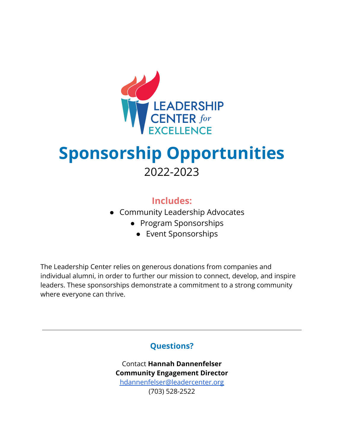

## **Sponsorship Opportunities** 2022-2023

### **Includes:**

- Community Leadership Advocates
	- Program Sponsorships
		- Event Sponsorships

The Leadership Center relies on generous donations from companies and individual alumni, in order to further our mission to connect, develop, and inspire leaders. These sponsorships demonstrate a commitment to a strong community where everyone can thrive.

### **Questions?**

Contact **Hannah Dannenfelser Community Engagement Director** [hdannenfelser@leadercenter.org](mailto:hdannenfelser@leadercenter.org) (703) 528-2522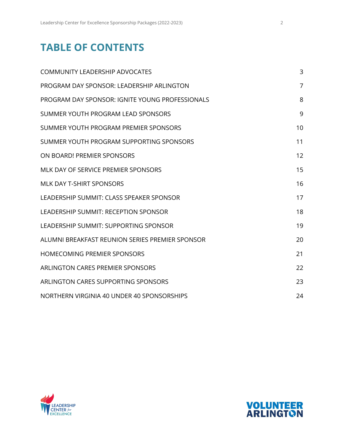### **TABLE OF CONTENTS**

| <b>COMMUNITY LEADERSHIP ADVOCATES</b>           | 3              |
|-------------------------------------------------|----------------|
| PROGRAM DAY SPONSOR: LEADERSHIP ARLINGTON       | $\overline{7}$ |
| PROGRAM DAY SPONSOR: IGNITE YOUNG PROFESSIONALS | 8              |
| SUMMER YOUTH PROGRAM LEAD SPONSORS              | 9              |
| SUMMER YOUTH PROGRAM PREMIER SPONSORS           | 10             |
| SUMMER YOUTH PROGRAM SUPPORTING SPONSORS        | 11             |
| ON BOARD! PREMIER SPONSORS                      | 12             |
| MLK DAY OF SERVICE PREMIER SPONSORS             | 15             |
| MLK DAY T-SHIRT SPONSORS                        | 16             |
| LEADERSHIP SUMMIT: CLASS SPEAKER SPONSOR        | 17             |
| LEADERSHIP SUMMIT: RECEPTION SPONSOR            | 18             |
| LEADERSHIP SUMMIT: SUPPORTING SPONSOR           | 19             |
| ALUMNI BREAKFAST REUNION SERIES PREMIER SPONSOR | 20             |
| <b>HOMECOMING PREMIER SPONSORS</b>              | 21             |
| ARLINGTON CARES PREMIER SPONSORS                | 22             |
| ARLINGTON CARES SUPPORTING SPONSORS             | 23             |
| NORTHERN VIRGINIA 40 UNDER 40 SPONSORSHIPS      | 24             |



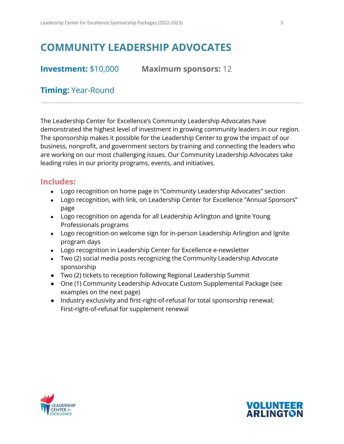### <span id="page-2-0"></span>**COMMUNITY LEADERSHIP ADVOCATES**

**Investment:** \$10,000 **Maximum sponsors:** 12

### **Timing:** Year-Round

The Leadership Center for Excellence's Community Leadership Advocates have demonstrated the highest level of investment in growing community leaders in our region. The sponsorship makes it possible for the Leadership Center to grow the impact of our business, nonprofit, and government sectors by training and connecting the leaders who are working on our most challenging issues. Our Community Leadership Advocates take leading roles in our priority programs, events, and initiatives.

- Logo recognition on home page in "Community Leadership Advocates" section
- Logo recognition, with link, on Leadership Center for Excellence "Annual Sponsors" page
- Logo recognition on agenda for all Leadership Arlington and Ignite Young Professionals programs
- Logo recognition on welcome sign for in-person Leadership Arlington and Ignite program days
- Logo recognition in Leadership Center for Excellence e-newsletter
- Two (2) social media posts recognizing the Community Leadership Advocate sponsorship
- Two (2) tickets to reception following Regional Leadership Summit
- One (1) Community Leadership Advocate Custom Supplemental Package (see examples on the next page)
- Industry exclusivity and first-right-of-refusal for total sponsorship renewal; First-right-of-refusal for supplement renewal



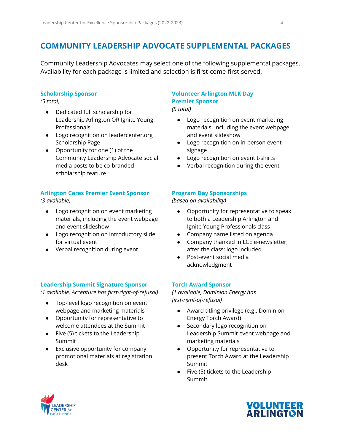### **COMMUNITY LEADERSHIP ADVOCATE SUPPLEMENTAL PACKAGES**

Community Leadership Advocates may select one of the following supplemental packages. Availability for each package is limited and selection is first-come-first-served.

#### **Scholarship Sponsor**

*(5 total)*

- Dedicated full scholarship for Leadership Arlington OR Ignite Young Professionals
- Logo recognition on leadercenter.org Scholarship Page
- Opportunity for one (1) of the Community Leadership Advocate social media posts to be co-branded scholarship feature

#### **Arlington Cares Premier Event Sponsor**

*(3 available)*

- Logo recognition on event marketing materials, including the event webpage and event slideshow
- Logo recognition on introductory slide for virtual event
- Verbal recognition during event

#### **Leadership Summit Signature Sponsor**

*(1 available, Accenture has first-right-of-refusal)*

- Top-level logo recognition on event webpage and marketing materials
- Opportunity for representative to welcome attendees at the Summit
- Five (5) tickets to the Leadership Summit
- Exclusive opportunity for company promotional materials at registration desk

### **Volunteer Arlington MLK Day Premier Sponsor**

*(5 total)*

- Logo recognition on event marketing materials, including the event webpage and event slideshow
- Logo recognition on in-person event signage
- Logo recognition on event t-shirts
- Verbal recognition during the event

#### **Program Day Sponsorships**

*(based on availability)*

- Opportunity for representative to speak to both a Leadership Arlington and Ignite Young Professionals class
- Company name listed on agenda
- Company thanked in LCE e-newsletter, after the class; logo included
- Post-event social media acknowledgment

#### **Torch Award Sponsor**

*(1 available, Dominion Energy has first-right-of-refusal)*

- Award titling privilege (e.g., Dominion Energy Torch Award)
- Secondary logo recognition on Leadership Summit event webpage and marketing materials
- Opportunity for representative to present Torch Award at the Leadership Summit
- Five (5) tickets to the Leadership Summit



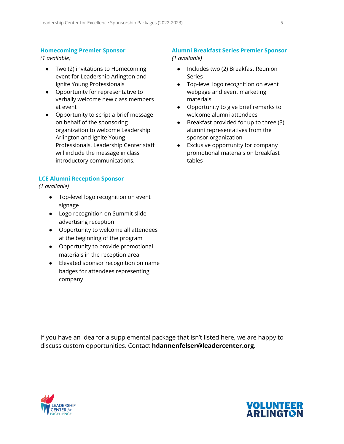#### **Homecoming Premier Sponsor**

*(1 available)*

- Two (2) invitations to Homecoming event for Leadership Arlington and Ignite Young Professionals
- Opportunity for representative to verbally welcome new class members at event
- Opportunity to script a brief message on behalf of the sponsoring organization to welcome Leadership Arlington and Ignite Young Professionals. Leadership Center staff will include the message in class introductory communications.

#### **LCE Alumni Reception Sponsor**

*(1 available)*

- Top-level logo recognition on event signage
- Logo recognition on Summit slide advertising reception
- Opportunity to welcome all attendees at the beginning of the program
- Opportunity to provide promotional materials in the reception area
- Elevated sponsor recognition on name badges for attendees representing company

#### **Alumni Breakfast Series Premier Sponsor**

*(1 available)*

- Includes two (2) Breakfast Reunion Series
- Top-level logo recognition on event webpage and event marketing materials
- Opportunity to give brief remarks to welcome alumni attendees
- Breakfast provided for up to three (3) alumni representatives from the sponsor organization
- Exclusive opportunity for company promotional materials on breakfast tables

If you have an idea for a supplemental package that isn't listed here, we are happy to discuss custom opportunities. Contact **hdannenfelser@leadercenter.org**.



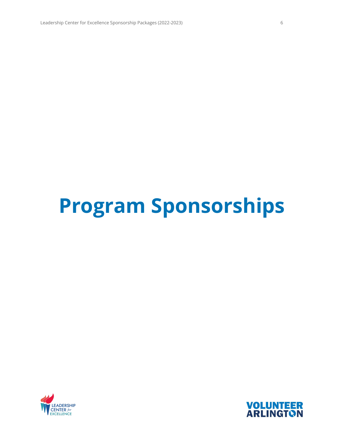# **Program Sponsorships**



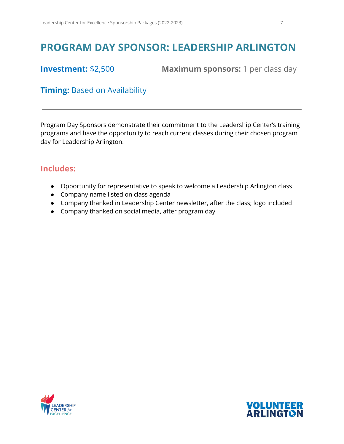### <span id="page-6-0"></span>**PROGRAM DAY SPONSOR: LEADERSHIP ARLINGTON**

**Investment:** \$2,500 **Maximum sponsors:** 1 per class day

### **Timing:** Based on Availability

Program Day Sponsors demonstrate their commitment to the Leadership Center's training programs and have the opportunity to reach current classes during their chosen program day for Leadership Arlington.

- Opportunity for representative to speak to welcome a Leadership Arlington class
- Company name listed on class agenda
- Company thanked in Leadership Center newsletter, after the class; logo included
- Company thanked on social media, after program day



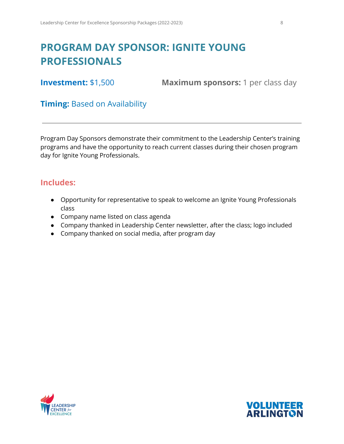### <span id="page-7-0"></span>**PROGRAM DAY SPONSOR: IGNITE YOUNG PROFESSIONALS**

**Investment:** \$1,500 **Maximum sponsors:** 1 per class day

### **Timing:** Based on Availability

Program Day Sponsors demonstrate their commitment to the Leadership Center's training programs and have the opportunity to reach current classes during their chosen program day for Ignite Young Professionals.

- Opportunity for representative to speak to welcome an Ignite Young Professionals class
- Company name listed on class agenda
- Company thanked in Leadership Center newsletter, after the class; logo included
- Company thanked on social media, after program day



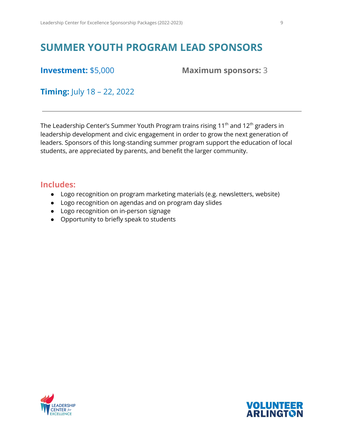### <span id="page-8-0"></span>**SUMMER YOUTH PROGRAM LEAD SPONSORS**

**Investment:** \$5,000 **Maximum sponsors:** 3

**Timing:** July 18 – 22, 2022

The Leadership Center's Summer Youth Program trains rising 11 $^{\rm th}$  and 12 $^{\rm th}$  graders in leadership development and civic engagement in order to grow the next generation of leaders. Sponsors of this long-standing summer program support the education of local students, are appreciated by parents, and benefit the larger community.

- Logo recognition on program marketing materials (e.g. newsletters, website)
- Logo recognition on agendas and on program day slides
- Logo recognition on in-person signage
- Opportunity to briefly speak to students



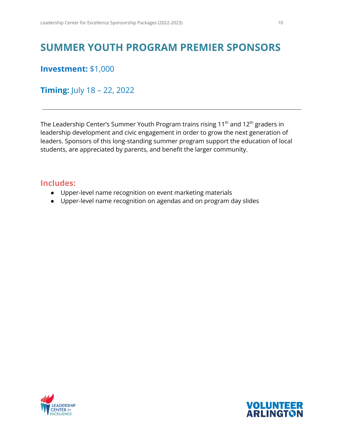### <span id="page-9-0"></span>**SUMMER YOUTH PROGRAM PREMIER SPONSORS**

**Investment:** \$1,000

**Timing:** July 18 – 22, 2022

The Leadership Center's Summer Youth Program trains rising 11 $^{\rm th}$  and 12 $^{\rm th}$  graders in leadership development and civic engagement in order to grow the next generation of leaders. Sponsors of this long-standing summer program support the education of local students, are appreciated by parents, and benefit the larger community.

- Upper-level name recognition on event marketing materials
- Upper-level name recognition on agendas and on program day slides



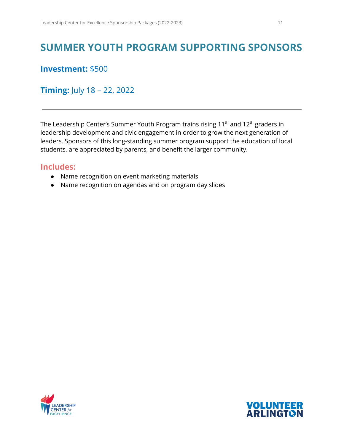### <span id="page-10-0"></span>**SUMMER YOUTH PROGRAM SUPPORTING SPONSORS**

### **Investment:** \$500

### **Timing:** July 18 – 22, 2022

The Leadership Center's Summer Youth Program trains rising 11 $^{\rm th}$  and 12 $^{\rm th}$  graders in leadership development and civic engagement in order to grow the next generation of leaders. Sponsors of this long-standing summer program support the education of local students, are appreciated by parents, and benefit the larger community.

- Name recognition on event marketing materials
- Name recognition on agendas and on program day slides



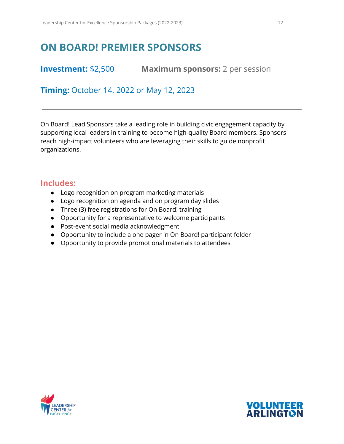### <span id="page-11-0"></span>**ON BOARD! PREMIER SPONSORS**

**Investment:** \$2,500 **Maximum sponsors:** 2 per session

**Timing:** October 14, 2022 or May 12, 2023

On Board! Lead Sponsors take a leading role in building civic engagement capacity by supporting local leaders in training to become high-quality Board members. Sponsors reach high-impact volunteers who are leveraging their skills to guide nonprofit organizations.

- Logo recognition on program marketing materials
- Logo recognition on agenda and on program day slides
- Three (3) free registrations for On Board! training
- Opportunity for a representative to welcome participants
- Post-event social media acknowledgment
- Opportunity to include a one pager in On Board! participant folder
- Opportunity to provide promotional materials to attendees



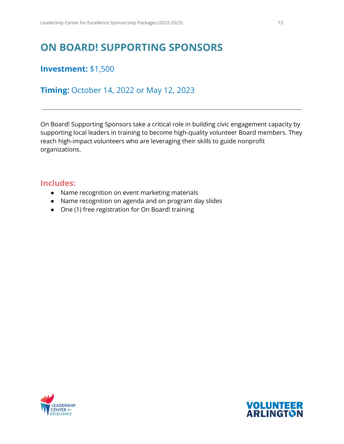### **ON BOARD! SUPPORTING SPONSORS**

### **Investment:** \$1,500

**Timing:** October 14, 2022 or May 12, 2023

On Board! Supporting Sponsors take a critical role in building civic engagement capacity by supporting local leaders in training to become high-quality volunteer Board members. They reach high-impact volunteers who are leveraging their skills to guide nonprofit organizations.

- Name recognition on event marketing materials
- Name recognition on agenda and on program day slides
- One (1) free registration for On Board! training



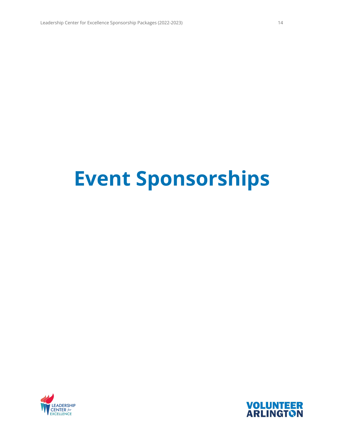# **Event Sponsorships**



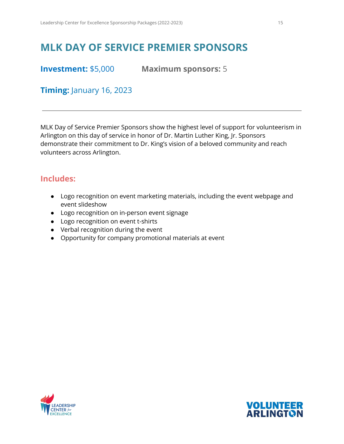### <span id="page-14-0"></span>**MLK DAY OF SERVICE PREMIER SPONSORS**

**Investment:** \$5,000 **Maximum sponsors:** 5

**Timing:** January 16, 2023

MLK Day of Service Premier Sponsors show the highest level of support for volunteerism in Arlington on this day of service in honor of Dr. Martin Luther King, Jr. Sponsors demonstrate their commitment to Dr. King's vision of a beloved community and reach volunteers across Arlington.

- Logo recognition on event marketing materials, including the event webpage and event slideshow
- Logo recognition on in-person event signage
- Logo recognition on event t-shirts
- Verbal recognition during the event
- Opportunity for company promotional materials at event



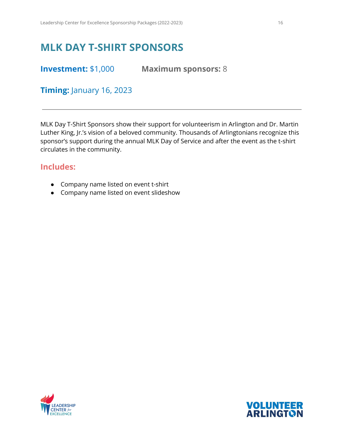### <span id="page-15-0"></span>**MLK DAY T-SHIRT SPONSORS**

**Investment:** \$1,000 **Maximum sponsors:** 8

**Timing:** January 16, 2023

MLK Day T-Shirt Sponsors show their support for volunteerism in Arlington and Dr. Martin Luther King, Jr.'s vision of a beloved community. Thousands of Arlingtonians recognize this sponsor's support during the annual MLK Day of Service and after the event as the t-shirt circulates in the community.

- Company name listed on event t-shirt
- Company name listed on event slideshow



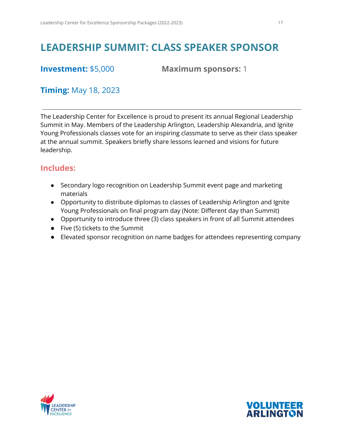### <span id="page-16-0"></span>**LEADERSHIP SUMMIT: CLASS SPEAKER SPONSOR**

**Investment:** \$5,000 **Maximum sponsors:** 1

### **Timing:** May 18, 2023

The Leadership Center for Excellence is proud to present its annual Regional Leadership Summit in May. Members of the Leadership Arlington, Leadership Alexandria, and Ignite Young Professionals classes vote for an inspiring classmate to serve as their class speaker at the annual summit. Speakers briefly share lessons learned and visions for future leadership.

- Secondary logo recognition on Leadership Summit event page and marketing materials
- Opportunity to distribute diplomas to classes of Leadership Arlington and Ignite Young Professionals on final program day (Note: Different day than Summit)
- Opportunity to introduce three (3) class speakers in front of all Summit attendees
- Five (5) tickets to the Summit
- Elevated sponsor recognition on name badges for attendees representing company



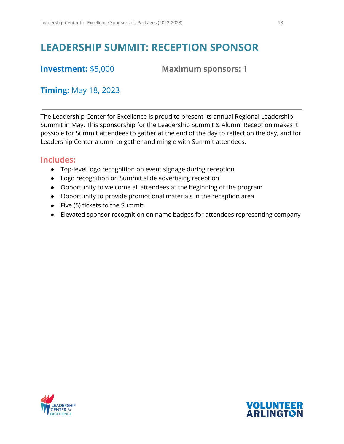### <span id="page-17-0"></span>**LEADERSHIP SUMMIT: RECEPTION SPONSOR**

**Investment:** \$5,000 **Maximum sponsors:** 1

### **Timing:** May 18, 2023

The Leadership Center for Excellence is proud to present its annual Regional Leadership Summit in May. This sponsorship for the Leadership Summit & Alumni Reception makes it possible for Summit attendees to gather at the end of the day to reflect on the day, and for Leadership Center alumni to gather and mingle with Summit attendees.

- Top-level logo recognition on event signage during reception
- Logo recognition on Summit slide advertising reception
- Opportunity to welcome all attendees at the beginning of the program
- Opportunity to provide promotional materials in the reception area
- Five (5) tickets to the Summit
- Elevated sponsor recognition on name badges for attendees representing company



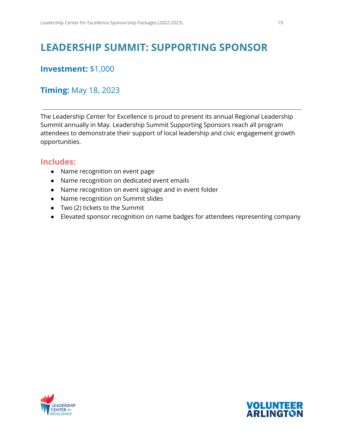### <span id="page-18-0"></span>**LEADERSHIP SUMMIT: SUPPORTING SPONSOR**

### **Investment:** \$1,000

### **Timing:** May 18, 2023

The Leadership Center for Excellence is proud to present its annual Regional Leadership Summit annually in May. Leadership Summit Supporting Sponsors reach all program attendees to demonstrate their support of local leadership and civic engagement growth opportunities.

- Name recognition on event page
- Name recognition on dedicated event emails
- Name recognition on event signage and in event folder
- Name recognition on Summit slides
- Two (2) tickets to the Summit
- **●** Elevated sponsor recognition on name badges for attendees representing company



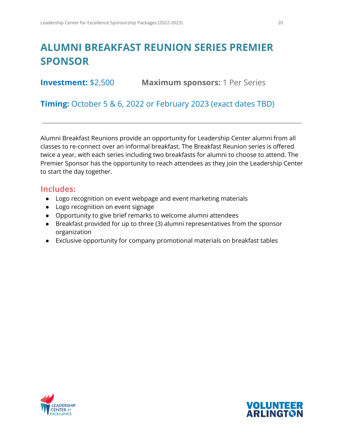### <span id="page-19-0"></span>**ALUMNI BREAKFAST REUNION SERIES PREMIER SPONSOR**

**Investment:** \$2,500 **Maximum sponsors:** 1 Per Series

**Timing:** October 5 & 6, 2022 or February 2023 (exact dates TBD)

Alumni Breakfast Reunions provide an opportunity for Leadership Center alumni from all classes to re-connect over an informal breakfast. The Breakfast Reunion series is offered twice a year, with each series including two breakfasts for alumni to choose to attend. The Premier Sponsor has the opportunity to reach attendees as they join the Leadership Center to start the day together.

- Logo recognition on event webpage and event marketing materials
- Logo recognition on event signage
- Opportunity to give brief remarks to welcome alumni attendees
- Breakfast provided for up to three (3) alumni representatives from the sponsor organization
- Exclusive opportunity for company promotional materials on breakfast tables



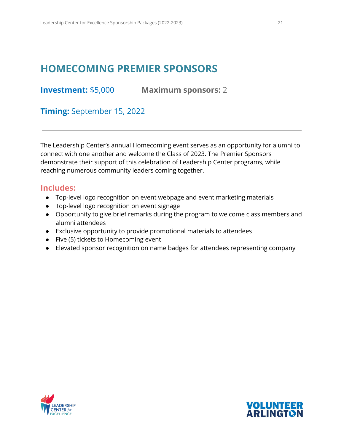### <span id="page-20-0"></span>**HOMECOMING PREMIER SPONSORS**

**Investment:** \$5,000 **Maximum sponsors:** 2

**Timing:** September 15, 2022

The Leadership Center's annual Homecoming event serves as an opportunity for alumni to connect with one another and welcome the Class of 2023. The Premier Sponsors demonstrate their support of this celebration of Leadership Center programs, while reaching numerous community leaders coming together.

- Top-level logo recognition on event webpage and event marketing materials
- Top-level logo recognition on event signage
- Opportunity to give brief remarks during the program to welcome class members and alumni attendees
- Exclusive opportunity to provide promotional materials to attendees
- Five (5) tickets to Homecoming event
- Elevated sponsor recognition on name badges for attendees representing company



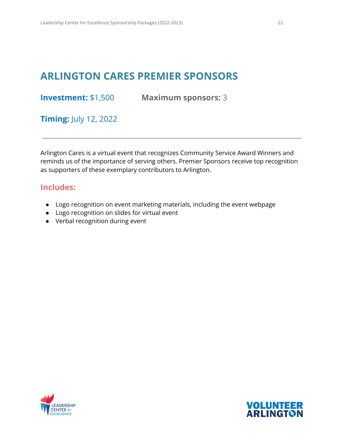### <span id="page-21-0"></span>**ARLINGTON CARES PREMIER SPONSORS**

**Investment:** \$1,500 **Maximum sponsors:** 3

**Timing:** July 12, 2022

Arlington Cares is a virtual event that recognizes Community Service Award Winners and reminds us of the importance of serving others. Premier Sponsors receive top recognition as supporters of these exemplary contributors to Arlington.

- Logo recognition on event marketing materials, including the event webpage
- Logo recognition on slides for virtual event
- Verbal recognition during event



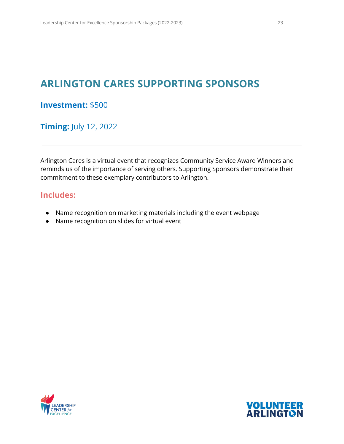### <span id="page-22-0"></span>**ARLINGTON CARES SUPPORTING SPONSORS**

#### **Investment:** \$500

**Timing:** July 12, 2022

Arlington Cares is a virtual event that recognizes Community Service Award Winners and reminds us of the importance of serving others. Supporting Sponsors demonstrate their commitment to these exemplary contributors to Arlington.

- Name recognition on marketing materials including the event webpage
- Name recognition on slides for virtual event